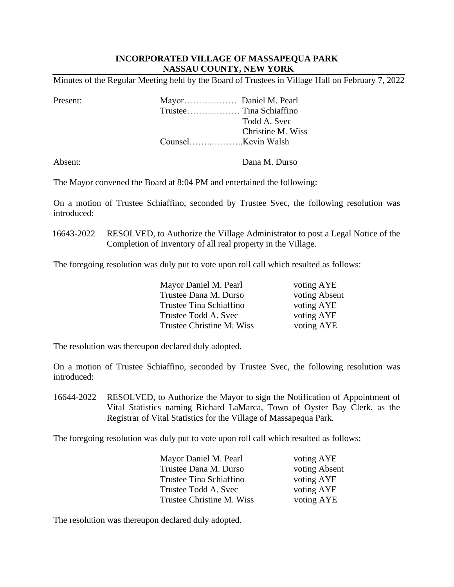## **INCORPORATED VILLAGE OF MASSAPEQUA PARK NASSAU COUNTY, NEW YORK**

Minutes of the Regular Meeting held by the Board of Trustees in Village Hall on February 7, 2022

Present: Mayor……………… Daniel M. Pearl Trustee……………… Tina Schiaffino Todd A. Svec Christine M. Wiss Counsel……..………..Kevin Walsh

Absent: Dana M. Durso

The Mayor convened the Board at 8:04 PM and entertained the following:

 On a motion of Trustee Schiaffino, seconded by Trustee Svec, the following resolution was introduced:

16643-2022 RESOLVED, to Authorize the Village Administrator to post a Legal Notice of the Completion of Inventory of all real property in the Village.

The foregoing resolution was duly put to vote upon roll call which resulted as follows:

| Mayor Daniel M. Pearl     | voting AYE    |
|---------------------------|---------------|
| Trustee Dana M. Durso     | voting Absent |
| Trustee Tina Schiaffino   | voting AYE    |
| Trustee Todd A. Svec      | voting AYE    |
| Trustee Christine M. Wiss | voting AYE    |

The resolution was thereupon declared duly adopted.

 On a motion of Trustee Schiaffino, seconded by Trustee Svec, the following resolution was introduced:

16644-2022 RESOLVED, to Authorize the Mayor to sign the Notification of Appointment of Vital Statistics naming Richard LaMarca, Town of Oyster Bay Clerk, as the Registrar of Vital Statistics for the Village of Massapequa Park.

The foregoing resolution was duly put to vote upon roll call which resulted as follows:

| Mayor Daniel M. Pearl     | voting AYE    |
|---------------------------|---------------|
| Trustee Dana M. Durso     | voting Absent |
| Trustee Tina Schiaffino   | voting AYE    |
| Trustee Todd A. Svec      | voting AYE    |
| Trustee Christine M. Wiss | voting AYE    |

The resolution was thereupon declared duly adopted.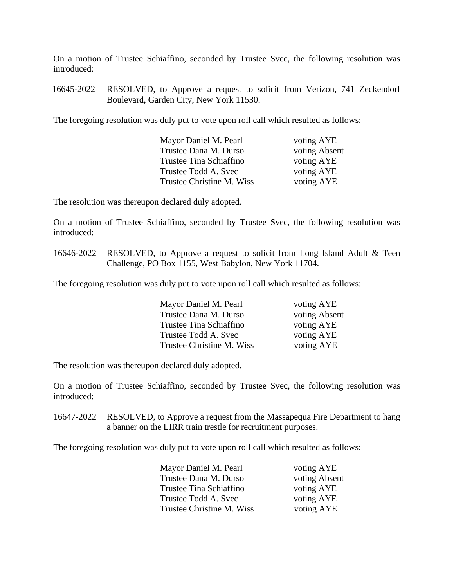On a motion of Trustee Schiaffino, seconded by Trustee Svec, the following resolution was introduced:

16645-2022 RESOLVED, to Approve a request to solicit from Verizon, 741 Zeckendorf Boulevard, Garden City, New York 11530.

The foregoing resolution was duly put to vote upon roll call which resulted as follows:

| Mayor Daniel M. Pearl     | voting AYE    |
|---------------------------|---------------|
| Trustee Dana M. Durso     | voting Absent |
| Trustee Tina Schiaffino   | voting AYE    |
| Trustee Todd A. Svec      | voting AYE    |
| Trustee Christine M. Wiss | voting AYE    |
|                           |               |

The resolution was thereupon declared duly adopted.

 On a motion of Trustee Schiaffino, seconded by Trustee Svec, the following resolution was introduced:

 16646-2022 RESOLVED, to Approve a request to solicit from Long Island Adult & Teen Challenge, PO Box 1155, West Babylon, New York 11704.

The foregoing resolution was duly put to vote upon roll call which resulted as follows:

| Mayor Daniel M. Pearl     | voting AYE    |
|---------------------------|---------------|
| Trustee Dana M. Durso     | voting Absent |
| Trustee Tina Schiaffino   | voting AYE    |
| Trustee Todd A. Svec      | voting AYE    |
| Trustee Christine M. Wiss | voting AYE    |

The resolution was thereupon declared duly adopted.

On a motion of Trustee Schiaffino, seconded by Trustee Svec, the following resolution was introduced:

16647-2022 RESOLVED, to Approve a request from the Massapequa Fire Department to hang a banner on the LIRR train trestle for recruitment purposes.

The foregoing resolution was duly put to vote upon roll call which resulted as follows:

| Mayor Daniel M. Pearl     | voting AYE    |
|---------------------------|---------------|
| Trustee Dana M. Durso     | voting Absent |
| Trustee Tina Schiaffino   | voting AYE    |
| Trustee Todd A. Svec      | voting AYE    |
| Trustee Christine M. Wiss | voting AYE    |